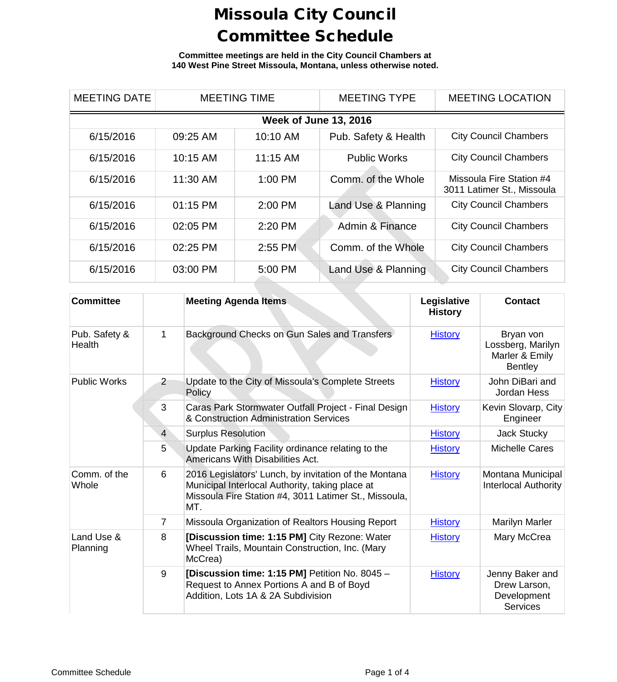**Committee meetings are held in the City Council Chambers at 140 West Pine Street Missoula, Montana, unless otherwise noted.**

| <b>MEETING DATE</b>          | <b>MEETING TIME</b> |          | <b>MEETING TYPE</b>  | <b>MEETING LOCATION</b>                                |  |  |
|------------------------------|---------------------|----------|----------------------|--------------------------------------------------------|--|--|
| <b>Week of June 13, 2016</b> |                     |          |                      |                                                        |  |  |
| 6/15/2016                    | 09:25 AM            | 10:10 AM | Pub. Safety & Health | <b>City Council Chambers</b>                           |  |  |
| 6/15/2016                    | 10:15 AM            | 11:15 AM | <b>Public Works</b>  | <b>City Council Chambers</b>                           |  |  |
| 6/15/2016                    | 11:30 AM            | 1:00 PM  | Comm. of the Whole   | Missoula Fire Station #4<br>3011 Latimer St., Missoula |  |  |
| 6/15/2016                    | $01:15$ PM          | 2:00 PM  | Land Use & Planning  | <b>City Council Chambers</b>                           |  |  |
| 6/15/2016                    | 02:05 PM            | 2:20 PM  | Admin & Finance      | <b>City Council Chambers</b>                           |  |  |
| 6/15/2016                    | 02:25 PM            | 2:55 PM  | Comm. of the Whole   | <b>City Council Chambers</b>                           |  |  |
| 6/15/2016                    | 03:00 PM            | 5:00 PM  | Land Use & Planning  | <b>City Council Chambers</b>                           |  |  |

| <b>Committee</b>        |                | <b>Meeting Agenda Items</b>                                                                                                                                              | Legislative<br><b>History</b> | Contact                                                            |
|-------------------------|----------------|--------------------------------------------------------------------------------------------------------------------------------------------------------------------------|-------------------------------|--------------------------------------------------------------------|
| Pub. Safety &<br>Health | 1              | Background Checks on Gun Sales and Transfers                                                                                                                             | <b>History</b>                | Bryan von<br>Lossberg, Marilyn<br>Marler & Emily<br><b>Bentley</b> |
| <b>Public Works</b>     | $\overline{2}$ | Update to the City of Missoula's Complete Streets<br>Policy                                                                                                              | <b>History</b>                | John DiBari and<br>Jordan Hess                                     |
|                         | 3              | Caras Park Stormwater Outfall Project - Final Design<br>& Construction Administration Services                                                                           | <b>History</b>                | Kevin Slovarp, City<br>Engineer                                    |
|                         | $\overline{4}$ | <b>Surplus Resolution</b>                                                                                                                                                | <b>History</b>                | Jack Stucky                                                        |
|                         | 5 <sup>1</sup> | Update Parking Facility ordinance relating to the<br>Americans With Disabilities Act.                                                                                    | <b>History</b>                | <b>Michelle Cares</b>                                              |
| Comm. of the<br>Whole   | 6              | 2016 Legislators' Lunch, by invitation of the Montana<br>Municipal Interlocal Authority, taking place at<br>Missoula Fire Station #4, 3011 Latimer St., Missoula,<br>MT. | <b>History</b>                | Montana Municipal<br>Interlocal Authority                          |
|                         | $\overline{7}$ | Missoula Organization of Realtors Housing Report                                                                                                                         | <b>History</b>                | <b>Marilyn Marler</b>                                              |
| Land Use &<br>Planning  | 8              | [Discussion time: 1:15 PM] City Rezone: Water<br>Wheel Trails, Mountain Construction, Inc. (Mary<br>McCrea)                                                              | <b>History</b>                | Mary McCrea                                                        |
|                         | 9              | [Discussion time: 1:15 PM] Petition No. 8045 -<br>Request to Annex Portions A and B of Boyd<br>Addition, Lots 1A & 2A Subdivision                                        | <b>History</b>                | Jenny Baker and<br>Drew Larson,<br>Development<br><b>Services</b>  |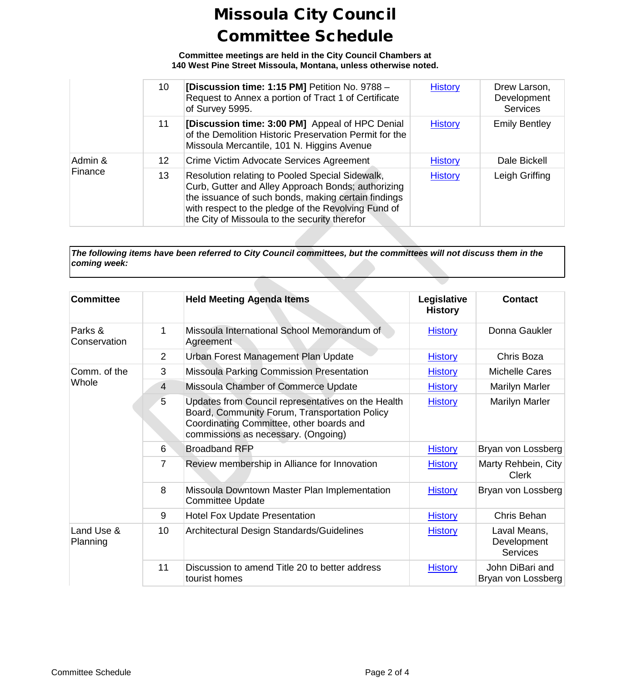**Committee meetings are held in the City Council Chambers at 140 West Pine Street Missoula, Montana, unless otherwise noted.**

|                    | 10 | [Discussion time: 1:15 PM] Petition No. 9788 -<br>Request to Annex a portion of Tract 1 of Certificate<br>of Survey 5995.                                                                                                                                            | <b>History</b> | Drew Larson,<br>Development<br><b>Services</b> |
|--------------------|----|----------------------------------------------------------------------------------------------------------------------------------------------------------------------------------------------------------------------------------------------------------------------|----------------|------------------------------------------------|
|                    | 11 | [Discussion time: 3:00 PM] Appeal of HPC Denial<br>of the Demolition Historic Preservation Permit for the<br>Missoula Mercantile, 101 N. Higgins Avenue                                                                                                              | <b>History</b> | <b>Emily Bentley</b>                           |
| Admin &<br>Finance | 12 | Crime Victim Advocate Services Agreement                                                                                                                                                                                                                             | <b>History</b> | Dale Bickell                                   |
|                    | 13 | Resolution relating to Pooled Special Sidewalk,<br>Curb, Gutter and Alley Approach Bonds; authorizing<br>the issuance of such bonds, making certain findings<br>with respect to the pledge of the Revolving Fund of<br>the City of Missoula to the security therefor | <b>History</b> | Leigh Griffing                                 |

*The following items have been referred to City Council committees, but the committees will not discuss them in the coming week:*

| <b>Committee</b>        |                | <b>Held Meeting Agenda Items</b>                                                                                                                                                       | Legislative<br><b>History</b> | <b>Contact</b>                                 |
|-------------------------|----------------|----------------------------------------------------------------------------------------------------------------------------------------------------------------------------------------|-------------------------------|------------------------------------------------|
| Parks &<br>Conservation | 1              | Missoula International School Memorandum of<br>Agreement                                                                                                                               | <b>History</b>                | Donna Gaukler                                  |
|                         | 2              | Urban Forest Management Plan Update                                                                                                                                                    | <b>History</b>                | Chris Boza                                     |
| Comm. of the            | 3              | <b>Missoula Parking Commission Presentation</b>                                                                                                                                        | <b>History</b>                | <b>Michelle Cares</b>                          |
| Whole                   | $\overline{4}$ | Missoula Chamber of Commerce Update                                                                                                                                                    | <b>History</b>                | <b>Marilyn Marler</b>                          |
|                         | 5              | Updates from Council representatives on the Health<br>Board, Community Forum, Transportation Policy<br>Coordinating Committee, other boards and<br>commissions as necessary. (Ongoing) | <b>History</b>                | <b>Marilyn Marler</b>                          |
|                         | 6              | <b>Broadband RFP</b>                                                                                                                                                                   | <b>History</b>                | Bryan von Lossberg                             |
|                         | $\overline{7}$ | Review membership in Alliance for Innovation                                                                                                                                           | <b>History</b>                | Marty Rehbein, City<br><b>Clerk</b>            |
|                         | 8              | Missoula Downtown Master Plan Implementation<br><b>Committee Update</b>                                                                                                                | <b>History</b>                | Bryan von Lossberg                             |
|                         | 9              | <b>Hotel Fox Update Presentation</b>                                                                                                                                                   | <b>History</b>                | Chris Behan                                    |
| Land Use &<br>Planning  | 10             | Architectural Design Standards/Guidelines                                                                                                                                              | <b>History</b>                | Laval Means,<br>Development<br><b>Services</b> |
|                         | 11             | Discussion to amend Title 20 to better address<br>tourist homes                                                                                                                        | <b>History</b>                | John DiBari and<br>Bryan von Lossberg          |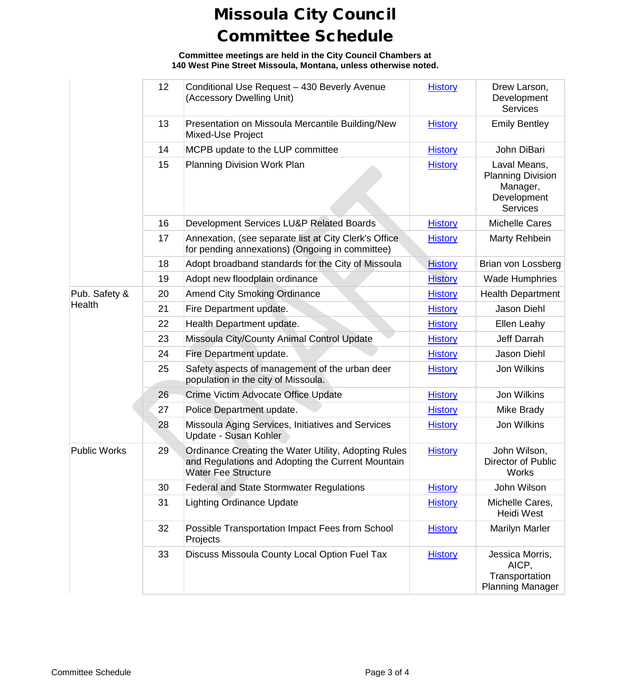**Committee meetings are held in the City Council Chambers at 140 West Pine Street Missoula, Montana, unless otherwise noted.**

|                     | 12 | Conditional Use Request - 430 Beverly Avenue<br>(Accessory Dwelling Unit)                                                               | <b>History</b> | Drew Larson,<br>Development<br><b>Services</b>                                         |
|---------------------|----|-----------------------------------------------------------------------------------------------------------------------------------------|----------------|----------------------------------------------------------------------------------------|
|                     | 13 | Presentation on Missoula Mercantile Building/New<br>Mixed-Use Project                                                                   | <b>History</b> | <b>Emily Bentley</b>                                                                   |
|                     | 14 | MCPB update to the LUP committee                                                                                                        | <b>History</b> | John DiBari                                                                            |
|                     | 15 | Planning Division Work Plan                                                                                                             | <b>History</b> | Laval Means,<br><b>Planning Division</b><br>Manager,<br>Development<br><b>Services</b> |
|                     | 16 | Development Services LU&P Related Boards                                                                                                | <b>History</b> | <b>Michelle Cares</b>                                                                  |
|                     | 17 | Annexation, (see separate list at City Clerk's Office<br>for pending annexations) (Ongoing in committee)                                | <b>History</b> | Marty Rehbein                                                                          |
|                     | 18 | Adopt broadband standards for the City of Missoula                                                                                      | <b>History</b> | Brian von Lossberg                                                                     |
|                     | 19 | Adopt new floodplain ordinance                                                                                                          | <b>History</b> | <b>Wade Humphries</b>                                                                  |
| Pub. Safety &       | 20 | <b>Amend City Smoking Ordinance</b>                                                                                                     | <b>History</b> | <b>Health Department</b>                                                               |
| Health              | 21 | Fire Department update.                                                                                                                 | <b>History</b> | Jason Diehl                                                                            |
|                     | 22 | Health Department update.                                                                                                               | <b>History</b> | Ellen Leahy                                                                            |
|                     | 23 | Missoula City/County Animal Control Update                                                                                              | <b>History</b> | Jeff Darrah                                                                            |
|                     | 24 | Fire Department update.                                                                                                                 | <b>History</b> | Jason Diehl                                                                            |
|                     | 25 | Safety aspects of management of the urban deer<br>population in the city of Missoula.                                                   | <b>History</b> | Jon Wilkins                                                                            |
|                     | 26 | Crime Victim Advocate Office Update                                                                                                     | <b>History</b> | Jon Wilkins                                                                            |
|                     | 27 | Police Department update.                                                                                                               | <b>History</b> | Mike Brady                                                                             |
|                     | 28 | Missoula Aging Services, Initiatives and Services<br>Update - Susan Kohler                                                              | <b>History</b> | Jon Wilkins                                                                            |
| <b>Public Works</b> | 29 | Ordinance Creating the Water Utility, Adopting Rules<br>and Regulations and Adopting the Current Mountain<br><b>Water Fee Structure</b> | <b>History</b> | John Wilson,<br>Director of Public<br><b>Works</b>                                     |
|                     | 30 | <b>Federal and State Stormwater Regulations</b>                                                                                         | <b>History</b> | John Wilson                                                                            |
|                     | 31 | <b>Lighting Ordinance Update</b>                                                                                                        | <b>History</b> | Michelle Cares,<br><b>Heidi West</b>                                                   |
|                     | 32 | Possible Transportation Impact Fees from School<br>Projects                                                                             | <b>History</b> | <b>Marilyn Marler</b>                                                                  |
|                     | 33 | Discuss Missoula County Local Option Fuel Tax                                                                                           | <b>History</b> | Jessica Morris,<br>AICP,<br>Transportation<br><b>Planning Manager</b>                  |